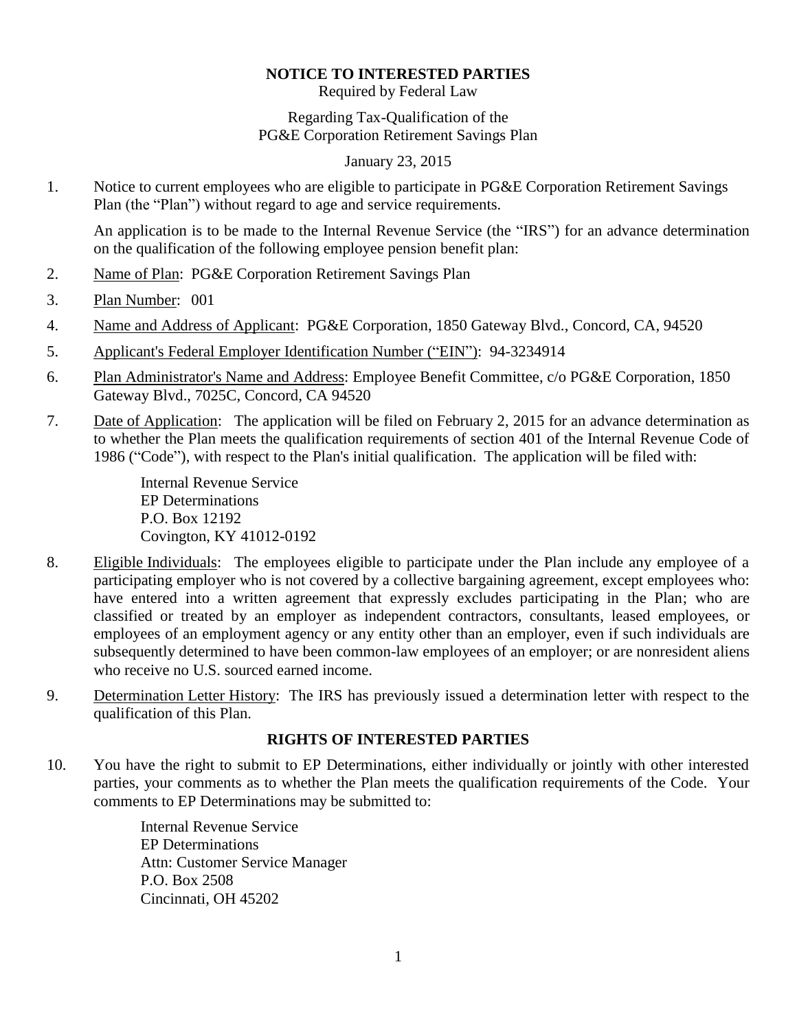#### **NOTICE TO INTERESTED PARTIES**

Required by Federal Law

Regarding Tax-Qualification of the PG&E Corporation Retirement Savings Plan

January 23, 2015

1. Notice to current employees who are eligible to participate in PG&E Corporation Retirement Savings Plan (the "Plan") without regard to age and service requirements.

An application is to be made to the Internal Revenue Service (the "IRS") for an advance determination on the qualification of the following employee pension benefit plan:

- 2. Name of Plan: PG&E Corporation Retirement Savings Plan
- 3. Plan Number: 001
- 4. Name and Address of Applicant: PG&E Corporation, 1850 Gateway Blvd., Concord, CA, 94520
- 5. Applicant's Federal Employer Identification Number ("EIN"): 94-3234914
- 6. Plan Administrator's Name and Address: Employee Benefit Committee, c/o PG&E Corporation, 1850 Gateway Blvd., 7025C, Concord, CA 94520
- 7. Date of Application: The application will be filed on February 2, 2015 for an advance determination as to whether the Plan meets the qualification requirements of section 401 of the Internal Revenue Code of 1986 ("Code"), with respect to the Plan's initial qualification. The application will be filed with:

Internal Revenue Service EP Determinations P.O. Box 12192 Covington, KY 41012-0192

- 8. Eligible Individuals: The employees eligible to participate under the Plan include any employee of a participating employer who is not covered by a collective bargaining agreement, except employees who: have entered into a written agreement that expressly excludes participating in the Plan; who are classified or treated by an employer as independent contractors, consultants, leased employees, or employees of an employment agency or any entity other than an employer, even if such individuals are subsequently determined to have been common-law employees of an employer; or are nonresident aliens who receive no U.S. sourced earned income.
- 9. Determination Letter History: The IRS has previously issued a determination letter with respect to the qualification of this Plan.

### **RIGHTS OF INTERESTED PARTIES**

10. You have the right to submit to EP Determinations, either individually or jointly with other interested parties, your comments as to whether the Plan meets the qualification requirements of the Code. Your comments to EP Determinations may be submitted to:

> Internal Revenue Service EP Determinations Attn: Customer Service Manager P.O. Box 2508 Cincinnati, OH 45202